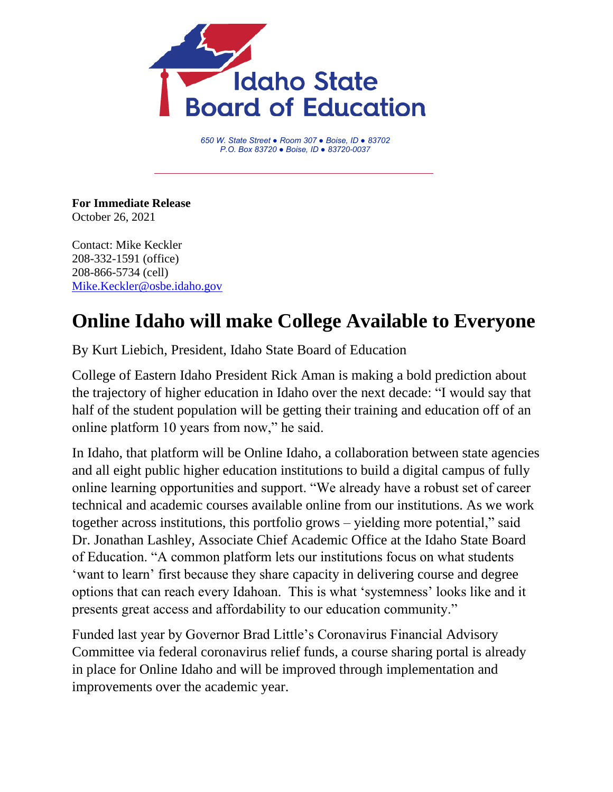

*650 W. State Street ● Room 307 ● Boise, ID ● 83702 P.O. Box 83720 ● Boise, ID ● 83720-0037*

**For Immediate Release** October 26, 2021

Contact: Mike Keckler 208-332-1591 (office) 208-866-5734 (cell) [Mike.Keckler@osbe.idaho.gov](mailto:Mike.Keckler@osbe.idaho.gov)

## **Online Idaho will make College Available to Everyone**

By Kurt Liebich, President, Idaho State Board of Education

College of Eastern Idaho President Rick Aman is making a bold prediction about the trajectory of higher education in Idaho over the next decade: "I would say that half of the student population will be getting their training and education off of an online platform 10 years from now," he said.

In Idaho, that platform will be Online Idaho, a collaboration between state agencies and all eight public higher education institutions to build a digital campus of fully online learning opportunities and support. "We already have a robust set of career technical and academic courses available online from our institutions. As we work together across institutions, this portfolio grows – yielding more potential," said Dr. Jonathan Lashley, Associate Chief Academic Office at the Idaho State Board of Education. "A common platform lets our institutions focus on what students 'want to learn' first because they share capacity in delivering course and degree options that can reach every Idahoan. This is what 'systemness' looks like and it presents great access and affordability to our education community."

Funded last year by Governor Brad Little's Coronavirus Financial Advisory Committee via federal coronavirus relief funds, a course sharing portal is already in place for Online Idaho and will be improved through implementation and improvements over the academic year.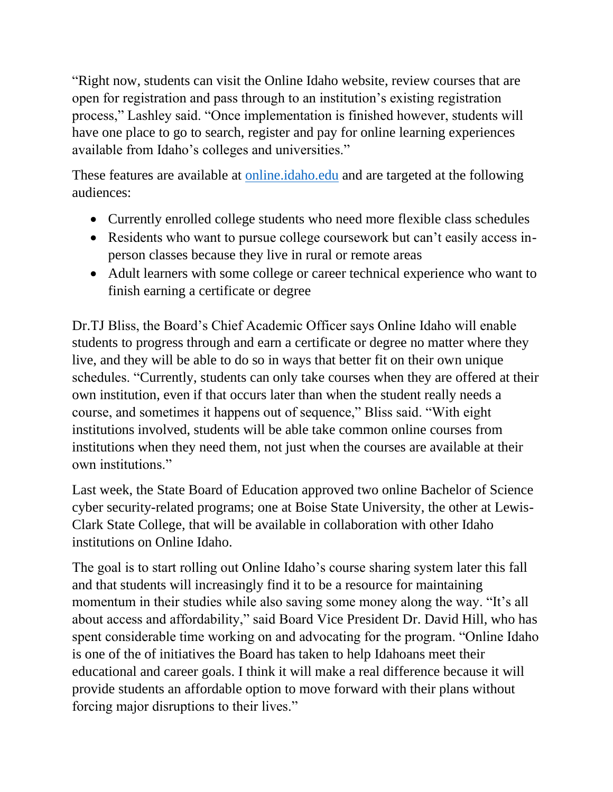"Right now, students can visit the Online Idaho website, review courses that are open for registration and pass through to an institution's existing registration process," Lashley said. "Once implementation is finished however, students will have one place to go to search, register and pay for online learning experiences available from Idaho's colleges and universities."

These features are available at online.*idaho.edu* and are targeted at the following audiences:

- Currently enrolled college students who need more flexible class schedules
- Residents who want to pursue college coursework but can't easily access inperson classes because they live in rural or remote areas
- Adult learners with some college or career technical experience who want to finish earning a certificate or degree

Dr.TJ Bliss, the Board's Chief Academic Officer says Online Idaho will enable students to progress through and earn a certificate or degree no matter where they live, and they will be able to do so in ways that better fit on their own unique schedules. "Currently, students can only take courses when they are offered at their own institution, even if that occurs later than when the student really needs a course, and sometimes it happens out of sequence," Bliss said. "With eight institutions involved, students will be able take common online courses from institutions when they need them, not just when the courses are available at their own institutions."

Last week, the State Board of Education approved two online Bachelor of Science cyber security-related programs; one at Boise State University, the other at Lewis-Clark State College, that will be available in collaboration with other Idaho institutions on Online Idaho.

The goal is to start rolling out Online Idaho's course sharing system later this fall and that students will increasingly find it to be a resource for maintaining momentum in their studies while also saving some money along the way. "It's all about access and affordability," said Board Vice President Dr. David Hill, who has spent considerable time working on and advocating for the program. "Online Idaho is one of the of initiatives the Board has taken to help Idahoans meet their educational and career goals. I think it will make a real difference because it will provide students an affordable option to move forward with their plans without forcing major disruptions to their lives."